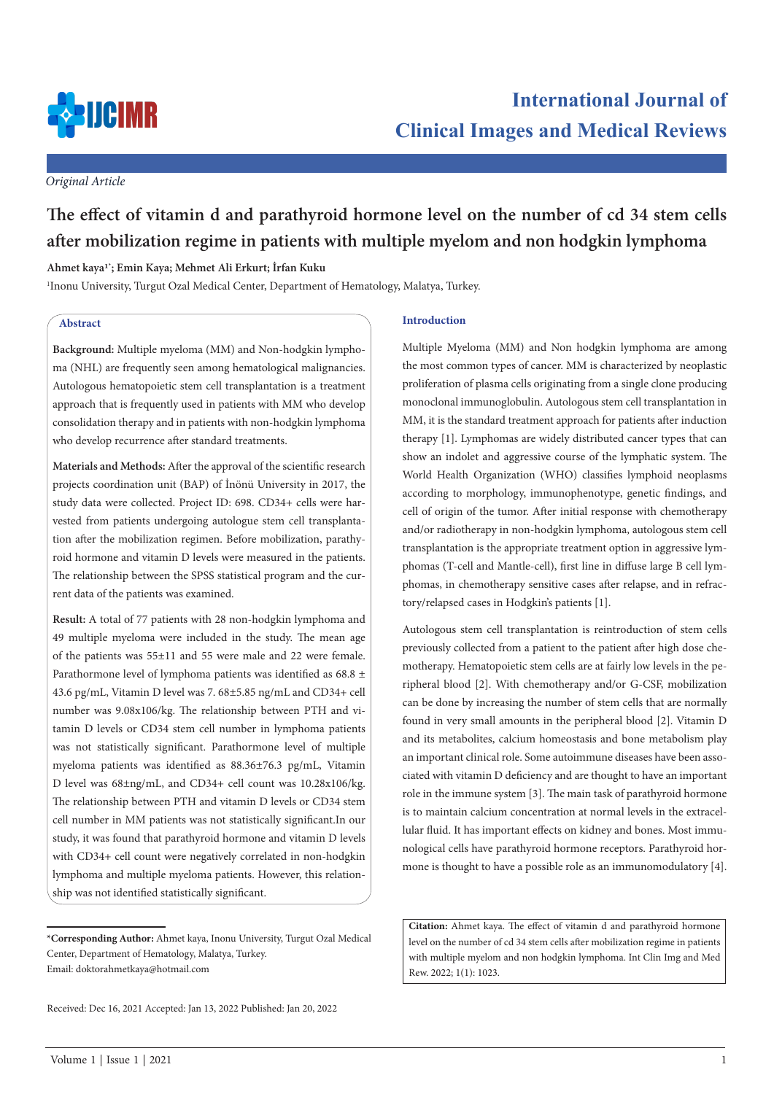

*Original Article*

# **The effect of vitamin d and parathyroid hormone level on the number of cd 34 stem cells after mobilization regime in patients with multiple myelom and non hodgkin lymphoma**

**Ahmet kaya1\* ; Emin Kaya; Mehmet Ali Erkurt; İrfan Kuku**

<sup>1</sup>Inonu University, Turgut Ozal Medical Center, Department of Hematology, Malatya, Turkey.

## **Abstract**

**Background:** Multiple myeloma (MM) and Non-hodgkin lymphoma (NHL) are frequently seen among hematological malignancies. Autologous hematopoietic stem cell transplantation is a treatment approach that is frequently used in patients with MM who develop consolidation therapy and in patients with non-hodgkin lymphoma who develop recurrence after standard treatments.

**Materials and Methods:** After the approval of the scientific research projects coordination unit (BAP) of İnönü University in 2017, the study data were collected. Project ID: 698. CD34+ cells were harvested from patients undergoing autologue stem cell transplantation after the mobilization regimen. Before mobilization, parathyroid hormone and vitamin D levels were measured in the patients. The relationship between the SPSS statistical program and the current data of the patients was examined.

**Result:** A total of 77 patients with 28 non-hodgkin lymphoma and 49 multiple myeloma were included in the study. The mean age of the patients was 55±11 and 55 were male and 22 were female. Parathormone level of lymphoma patients was identified as 68.8 ± 43.6 pg/mL, Vitamin D level was 7. 68±5.85 ng/mL and CD34+ cell number was 9.08x106/kg. The relationship between PTH and vitamin D levels or CD34 stem cell number in lymphoma patients was not statistically significant. Parathormone level of multiple myeloma patients was identified as 88.36±76.3 pg/mL, Vitamin D level was 68±ng/mL, and CD34+ cell count was 10.28x106/kg. The relationship between PTH and vitamin D levels or CD34 stem cell number in MM patients was not statistically significant.In our study, it was found that parathyroid hormone and vitamin D levels with CD34+ cell count were negatively correlated in non-hodgkin lymphoma and multiple myeloma patients. However, this relationship was not identified statistically significant.

Received: Dec 16, 2021 Accepted: Jan 13, 2022 Published: Jan 20, 2022

## **Introduction**

Multiple Myeloma (MM) and Non hodgkin lymphoma are among the most common types of cancer. MM is characterized by neoplastic proliferation of plasma cells originating from a single clone producing monoclonal immunoglobulin. Autologous stem cell transplantation in MM, it is the standard treatment approach for patients after induction therapy [1]. Lymphomas are widely distributed cancer types that can show an indolet and aggressive course of the lymphatic system. The World Health Organization (WHO) classifies lymphoid neoplasms according to morphology, immunophenotype, genetic findings, and cell of origin of the tumor. After initial response with chemotherapy and/or radiotherapy in non-hodgkin lymphoma, autologous stem cell transplantation is the appropriate treatment option in aggressive lymphomas (T-cell and Mantle-cell), first line in diffuse large B cell lymphomas, in chemotherapy sensitive cases after relapse, and in refractory/relapsed cases in Hodgkin's patients [1].

Autologous stem cell transplantation is reintroduction of stem cells previously collected from a patient to the patient after high dose chemotherapy. Hematopoietic stem cells are at fairly low levels in the peripheral blood [2]. With chemotherapy and/or G-CSF, mobilization can be done by increasing the number of stem cells that are normally found in very small amounts in the peripheral blood [2]. Vitamin D and its metabolites, calcium homeostasis and bone metabolism play an important clinical role. Some autoimmune diseases have been associated with vitamin D deficiency and are thought to have an important role in the immune system [3]. The main task of parathyroid hormone is to maintain calcium concentration at normal levels in the extracellular fluid. It has important effects on kidney and bones. Most immunological cells have parathyroid hormone receptors. Parathyroid hormone is thought to have a possible role as an immunomodulatory [4].

**Citation:** Ahmet kaya. The effect of vitamin d and parathyroid hormone level on the number of cd 34 stem cells after mobilization regime in patients with multiple myelom and non hodgkin lymphoma. Int Clin Img and Med Rew. 2022; 1(1): 1023.

**<sup>\*</sup>Corresponding Author:** Ahmet kaya, Inonu University, Turgut Ozal Medical Center, Department of Hematology, Malatya, Turkey. Email: doktorahmetkaya@hotmail.com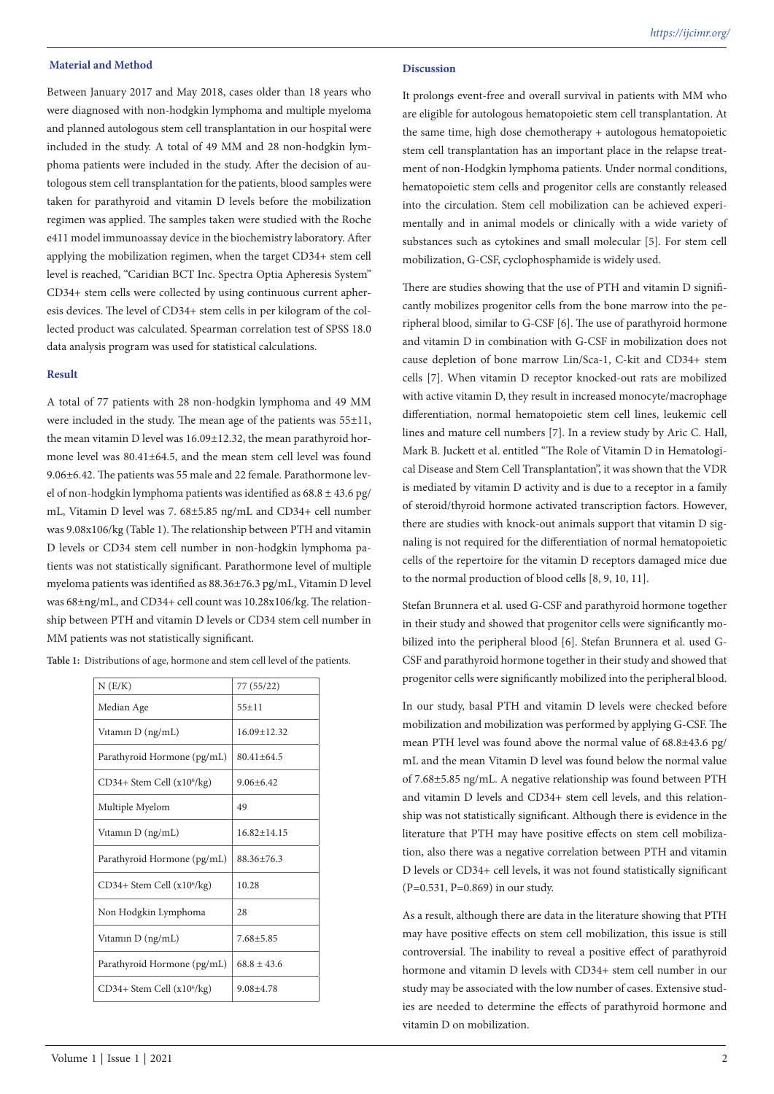### **Material and Method**

Between January 2017 and May 2018, cases older than 18 years who were diagnosed with non-hodgkin lymphoma and multiple myeloma and planned autologous stem cell transplantation in our hospital were included in the study. A total of 49 MM and 28 non-hodgkin lymphoma patients were included in the study. After the decision of autologous stem cell transplantation for the patients, blood samples were taken for parathyroid and vitamin D levels before the mobilization regimen was applied. The samples taken were studied with the Roche e411 model immunoassay device in the biochemistry laboratory. After applying the mobilization regimen, when the target CD34+ stem cell level is reached, "Caridian BCT Inc. Spectra Optia Apheresis System" CD34+ stem cells were collected by using continuous current apheresis devices. The level of CD34+ stem cells in per kilogram of the collected product was calculated. Spearman correlation test of SPSS 18.0 data analysis program was used for statistical calculations.

#### **Result**

A total of 77 patients with 28 non-hodgkin lymphoma and 49 MM were included in the study. The mean age of the patients was  $55\pm11$ , the mean vitamin D level was 16.09±12.32, the mean parathyroid hormone level was 80.41±64.5, and the mean stem cell level was found 9.06±6.42. The patients was 55 male and 22 female. Parathormone level of non-hodgkin lymphoma patients was identified as  $68.8 \pm 43.6$  pg/ mL, Vitamin D level was 7. 68±5.85 ng/mL and CD34+ cell number was 9.08x106/kg (Table 1). The relationship between PTH and vitamin D levels or CD34 stem cell number in non-hodgkin lymphoma patients was not statistically significant. Parathormone level of multiple myeloma patients was identified as 88.36±76.3 pg/mL, Vitamin D level was 68±ng/mL, and CD34+ cell count was 10.28x106/kg. The relationship between PTH and vitamin D levels or CD34 stem cell number in MM patients was not statistically significant.

| N(E/K)                         | 77 (55/22)      |
|--------------------------------|-----------------|
| Median Age                     | $55+11$         |
| Vitamin D (ng/mL)              | $16.09 + 12.32$ |
| Parathyroid Hormone (pg/mL)    | $80.41 + 64.5$  |
| $CD34+$ Stem Cell $(x106/kg)$  | $9.06 + 6.42$   |
| Multiple Myelom                | 49              |
| Vitamin D (ng/mL)              | $16.82 + 14.15$ |
| Parathyroid Hormone (pg/mL)    | $88.36 + 76.3$  |
| $CD34+$ Stem Cell $(x106/kg)$  | 10.28           |
| Non Hodgkin Lymphoma           | 2.8             |
| Vitamin D (ng/mL)              | $7.68 + 5.85$   |
| Parathyroid Hormone (pg/mL)    | $68.8 + 43.6$   |
| $CD34+$ Stem Cell $(x10^6/kg)$ | $9.08 + 4.78$   |

**Table 1:** Distributions of age, hormone and stem cell level of the patients.

#### **Discussion**

It prolongs event-free and overall survival in patients with MM who are eligible for autologous hematopoietic stem cell transplantation. At the same time, high dose chemotherapy + autologous hematopoietic stem cell transplantation has an important place in the relapse treatment of non-Hodgkin lymphoma patients. Under normal conditions, hematopoietic stem cells and progenitor cells are constantly released into the circulation. Stem cell mobilization can be achieved experimentally and in animal models or clinically with a wide variety of substances such as cytokines and small molecular [5]. For stem cell mobilization, G-CSF, cyclophosphamide is widely used.

There are studies showing that the use of PTH and vitamin D significantly mobilizes progenitor cells from the bone marrow into the peripheral blood, similar to G-CSF [6]. The use of parathyroid hormone and vitamin D in combination with G-CSF in mobilization does not cause depletion of bone marrow Lin/Sca-1, C-kit and CD34+ stem cells [7]. When vitamin D receptor knocked-out rats are mobilized with active vitamin D, they result in increased monocyte/macrophage differentiation, normal hematopoietic stem cell lines, leukemic cell lines and mature cell numbers [7]. In a review study by Aric C. Hall, Mark B. Juckett et al. entitled "The Role of Vitamin D in Hematological Disease and Stem Cell Transplantation", it was shown that the VDR is mediated by vitamin D activity and is due to a receptor in a family of steroid/thyroid hormone activated transcription factors. However, there are studies with knock-out animals support that vitamin D signaling is not required for the differentiation of normal hematopoietic cells of the repertoire for the vitamin D receptors damaged mice due to the normal production of blood cells [8, 9, 10, 11].

Stefan Brunnera et al. used G-CSF and parathyroid hormone together in their study and showed that progenitor cells were significantly mobilized into the peripheral blood [6]. Stefan Brunnera et al. used G-CSF and parathyroid hormone together in their study and showed that progenitor cells were significantly mobilized into the peripheral blood.

In our study, basal PTH and vitamin D levels were checked before mobilization and mobilization was performed by applying G-CSF. The mean PTH level was found above the normal value of 68.8±43.6 pg/ mL and the mean Vitamin D level was found below the normal value of 7.68±5.85 ng/mL. A negative relationship was found between PTH and vitamin D levels and CD34+ stem cell levels, and this relationship was not statistically significant. Although there is evidence in the literature that PTH may have positive effects on stem cell mobilization, also there was a negative correlation between PTH and vitamin D levels or CD34+ cell levels, it was not found statistically significant (P=0.531, P=0.869) in our study.

As a result, although there are data in the literature showing that PTH may have positive effects on stem cell mobilization, this issue is still controversial. The inability to reveal a positive effect of parathyroid hormone and vitamin D levels with CD34+ stem cell number in our study may be associated with the low number of cases. Extensive studies are needed to determine the effects of parathyroid hormone and vitamin D on mobilization.